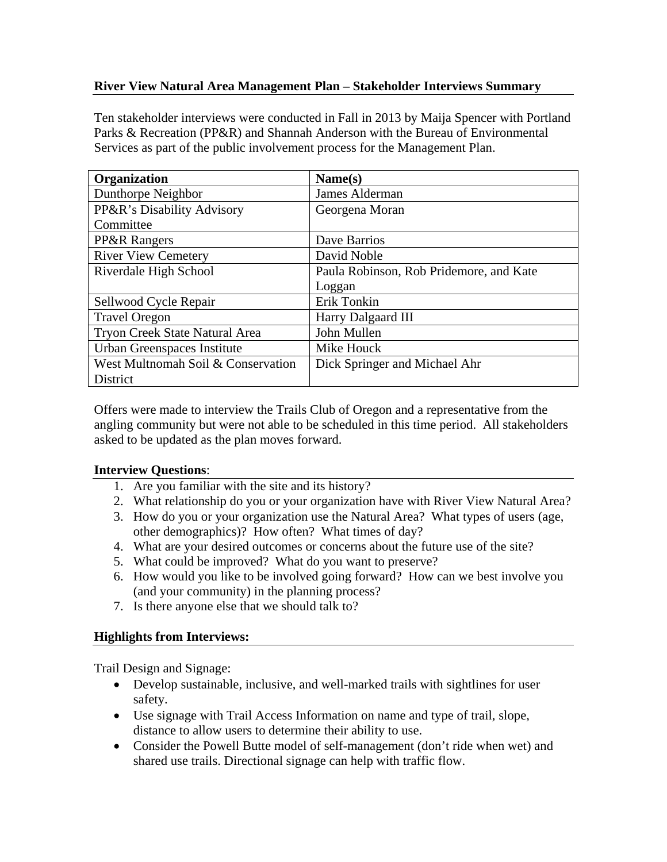## **River View Natural Area Management Plan – Stakeholder Interviews Summary**

Ten stakeholder interviews were conducted in Fall in 2013 by Maija Spencer with Portland Parks & Recreation (PP&R) and Shannah Anderson with the Bureau of Environmental Services as part of the public involvement process for the Management Plan.

| <b>Organization</b>                | Name(s)                                 |
|------------------------------------|-----------------------------------------|
| Dunthorpe Neighbor                 | James Alderman                          |
| PP&R's Disability Advisory         | Georgena Moran                          |
| Committee                          |                                         |
| <b>PP&amp;R Rangers</b>            | Dave Barrios                            |
| <b>River View Cemetery</b>         | David Noble                             |
| Riverdale High School              | Paula Robinson, Rob Pridemore, and Kate |
|                                    | Loggan                                  |
| Sellwood Cycle Repair              | Erik Tonkin                             |
| <b>Travel Oregon</b>               | Harry Dalgaard III                      |
| Tryon Creek State Natural Area     | John Mullen                             |
| Urban Greenspaces Institute        | Mike Houck                              |
| West Multnomah Soil & Conservation | Dick Springer and Michael Ahr           |
| <b>District</b>                    |                                         |

Offers were made to interview the Trails Club of Oregon and a representative from the angling community but were not able to be scheduled in this time period. All stakeholders asked to be updated as the plan moves forward.

## **Interview Questions**:

- 1. Are you familiar with the site and its history?
- 2. What relationship do you or your organization have with River View Natural Area?
- 3. How do you or your organization use the Natural Area? What types of users (age, other demographics)? How often? What times of day?
- 4. What are your desired outcomes or concerns about the future use of the site?
- 5. What could be improved? What do you want to preserve?
- 6. How would you like to be involved going forward? How can we best involve you (and your community) in the planning process?
- 7. Is there anyone else that we should talk to?

## **Highlights from Interviews:**

Trail Design and Signage:

- Develop sustainable, inclusive, and well-marked trails with sightlines for user safety.
- Use signage with Trail Access Information on name and type of trail, slope, distance to allow users to determine their ability to use.
- Consider the Powell Butte model of self-management (don't ride when wet) and shared use trails. Directional signage can help with traffic flow.